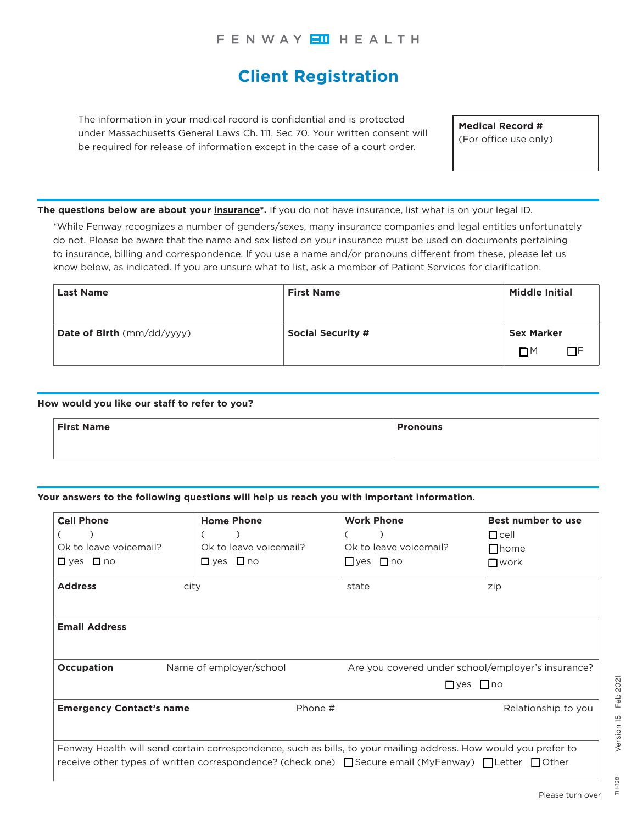# **Client Registration**

The information in your medical record is confidential and is protected under Massachusetts General Laws Ch. 111, Sec 70. Your written consent will be required for release of information except in the case of a court order.

**Medical Record #** (For office use only)

**The questions below are about your insurance\*.** If you do not have insurance, list what is on your legal ID.

\*While Fenway recognizes a number of genders/sexes, many insurance companies and legal entities unfortunately do not. Please be aware that the name and sex listed on your insurance must be used on documents pertaining to insurance, billing and correspondence. If you use a name and/or pronouns different from these, please let us know below, as indicated. If you are unsure what to list, ask a member of Patient Services for clarification.

| <b>Last Name</b>           | <b>First Name</b>        | <b>Middle Initial</b> |    |
|----------------------------|--------------------------|-----------------------|----|
| Date of Birth (mm/dd/yyyy) | <b>Social Security #</b> | <b>Sex Marker</b>     |    |
|                            |                          | $\Box M$              | ПF |

### **How would you like our staff to refer to you?**

| <b>First Name</b> |  | <b>Pronouns</b> |
|-------------------|--|-----------------|
|                   |  |                 |

#### **Your answers to the following questions will help us reach you with important information.**

| <b>Cell Phone</b>               | <b>Home Phone</b>       | <b>Work Phone</b>                                                                                                                                                                                                                       | Best number to use                                 |
|---------------------------------|-------------------------|-----------------------------------------------------------------------------------------------------------------------------------------------------------------------------------------------------------------------------------------|----------------------------------------------------|
|                                 | €                       |                                                                                                                                                                                                                                         | $\Box$ cell                                        |
| Ok to leave voicemail?          | Ok to leave voicemail?  | Ok to leave voicemail?                                                                                                                                                                                                                  | $\Box$ home                                        |
| $\Box$ yes $\Box$ no            | $\Box$ yes $\Box$ no    | $\Box$ yes $\Box$ no                                                                                                                                                                                                                    | $\Box$ work                                        |
| <b>Address</b>                  | city                    | state                                                                                                                                                                                                                                   | zip                                                |
| <b>Email Address</b>            |                         |                                                                                                                                                                                                                                         |                                                    |
| <b>Occupation</b>               | Name of employer/school |                                                                                                                                                                                                                                         | Are you covered under school/employer's insurance? |
|                                 |                         |                                                                                                                                                                                                                                         | $\Box$ ves $\Box$ no                               |
| <b>Emergency Contact's name</b> | Phone #                 |                                                                                                                                                                                                                                         | Relationship to you                                |
|                                 |                         | Fenway Health will send certain correspondence, such as bills, to your mailing address. How would you prefer to<br>receive other types of written correspondence? (check one) $\Box$ Secure email (MyFenway) $\Box$ Letter $\Box$ Other |                                                    |

128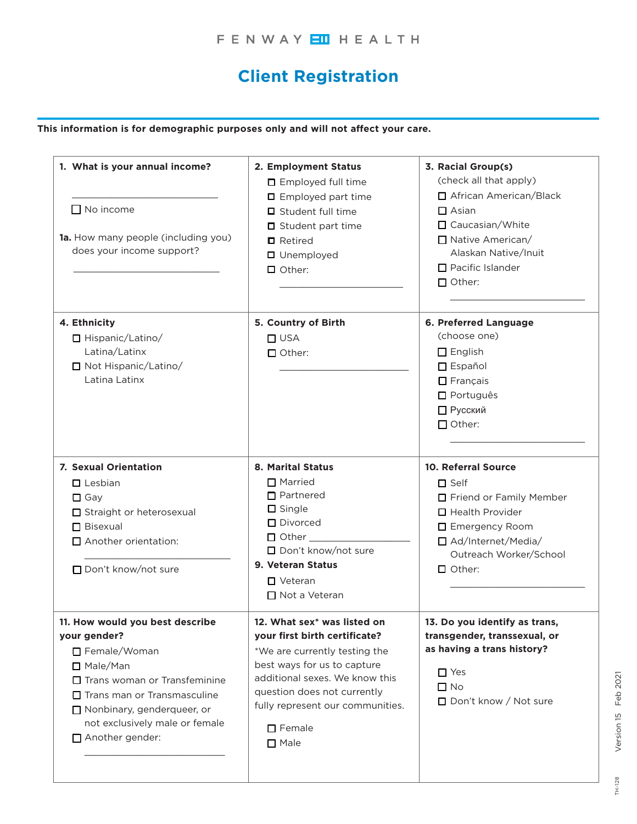# **Client Registration**

**This information is for demographic purposes only and will not affect your care.**

| 1. What is your annual income?<br>$\Box$ No income<br>1a. How many people (including you)<br>does your income support?                                                                                                                          | 2. Employment Status<br>□ Employed full time<br>$\Box$ Employed part time<br>$\Box$ Student full time<br>$\Box$ Student part time<br>$\blacksquare$ Retired<br><b>O</b> Unemployed<br>$\Box$ Other:                                                               | 3. Racial Group(s)<br>(check all that apply)<br>□ African American/Black<br>$\Box$ Asian<br>□ Caucasian/White<br>□ Native American/<br>Alaskan Native/Inuit<br>$\Box$ Pacific Islander<br>$\Box$ Other: |
|-------------------------------------------------------------------------------------------------------------------------------------------------------------------------------------------------------------------------------------------------|-------------------------------------------------------------------------------------------------------------------------------------------------------------------------------------------------------------------------------------------------------------------|---------------------------------------------------------------------------------------------------------------------------------------------------------------------------------------------------------|
| 4. Ethnicity<br>Hispanic/Latino/<br>Latina/Latinx<br>□ Not Hispanic/Latino/<br>Latina Latinx                                                                                                                                                    | 5. Country of Birth<br>$\Box$ USA<br>$\Box$ Other:                                                                                                                                                                                                                | 6. Preferred Language<br>(choose one)<br>$\Box$ English<br>$\Box$ Español<br>$\Box$ Français<br><b>D</b> Português<br>□ Русский<br>$\Box$ Other:                                                        |
| 7. Sexual Orientation<br>$\Box$ Lesbian<br>$\Box$ Gay<br>Straight or heterosexual<br>$\Box$ Bisexual<br>Another orientation:<br>□ Don't know/not sure                                                                                           | <b>8. Marital Status</b><br>$\Box$ Married<br>$\Box$ Partnered<br>$\square$ Single<br>D Divorced<br>$\Box$ Other $\Box$<br>□ Don't know/not sure<br>9. Veteran Status<br>$\Box$ Veteran<br>□ Not a Veteran                                                        | 10. Referral Source<br>$\square$ Self<br>□ Friend or Family Member<br>$\Box$ Health Provider<br>□ Emergency Room<br>□ Ad/Internet/Media/<br>Outreach Worker/School<br>$\Box$ Other:                     |
| 11. How would you best describe<br>your gender?<br>□ Female/Woman<br>□ Male/Man<br>$\Box$ Trans woman or Transfeminine<br>$\Box$ Trans man or Transmasculine<br>Nonbinary, genderqueer, or<br>not exclusively male or female<br>Another gender: | 12. What sex* was listed on<br>your first birth certificate?<br>*We are currently testing the<br>best ways for us to capture<br>additional sexes. We know this<br>question does not currently<br>fully represent our communities.<br>$\Box$ Female<br>$\Box$ Male | 13. Do you identify as trans,<br>transgender, transsexual, or<br>as having a trans history?<br>$\Box$ Yes<br>$\Box$ No<br>□ Don't know / Not sure                                                       |